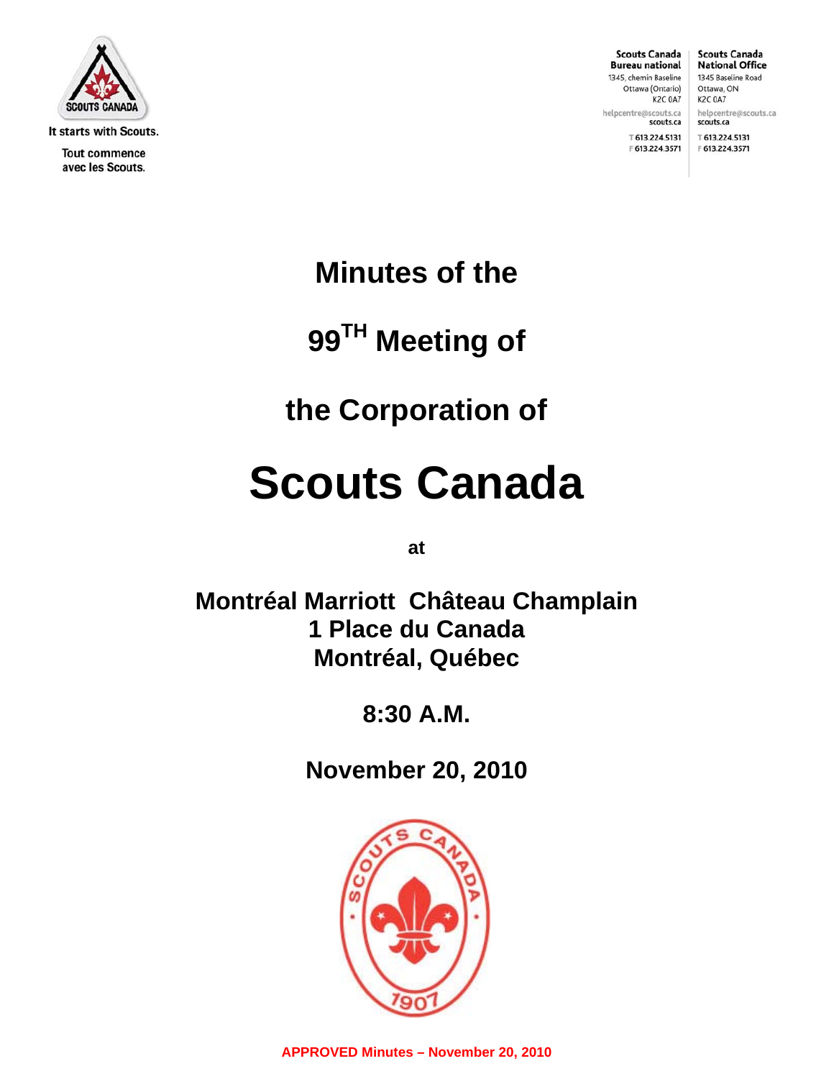

It starts with Scouts.

**Tout commence** avec les Scouts.

**Scouts Canada Bureau national** 1345, chemin Baseline Ottawa (Ontario) K2C 0A7

helpcentre@scouts.ca

**Scouts Canada National Office** 1345 Baseline Road Ottawa, ON K2C 0A7 helpcentre@scouts.ca

scouts.ca ⊤613.224.5131 F 613.224.3571

™ 613.224.5131 F 613.224.3571

scouts.ca

**Minutes of the** 

**99TH Meeting of** 

# **the Corporation of**

# **Scouts Canada**

**at** 

**Montréal Marriott Château Champlain 1 Place du Canada Montréal, Québec** 

**8:30 A.M.** 

**November 20, 2010** 

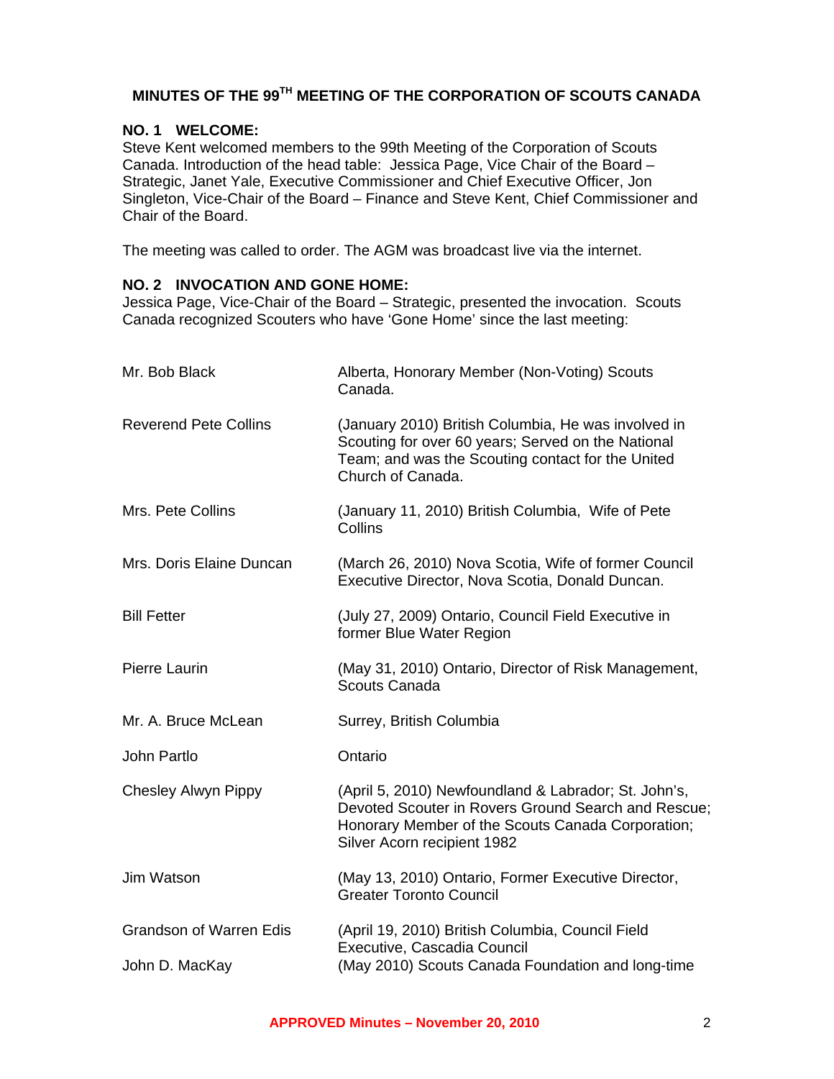### **MINUTES OF THE 99TH MEETING OF THE CORPORATION OF SCOUTS CANADA**

#### **NO. 1 WELCOME:**

Steve Kent welcomed members to the 99th Meeting of the Corporation of Scouts Canada. Introduction of the head table: Jessica Page, Vice Chair of the Board – Strategic, Janet Yale, Executive Commissioner and Chief Executive Officer, Jon Singleton, Vice-Chair of the Board – Finance and Steve Kent, Chief Commissioner and Chair of the Board.

The meeting was called to order. The AGM was broadcast live via the internet.

#### **NO. 2 INVOCATION AND GONE HOME:**

Jessica Page, Vice-Chair of the Board – Strategic, presented the invocation. Scouts Canada recognized Scouters who have 'Gone Home' since the last meeting:

| Mr. Bob Black                                    | Alberta, Honorary Member (Non-Voting) Scouts<br>Canada.                                                                                                                                         |
|--------------------------------------------------|-------------------------------------------------------------------------------------------------------------------------------------------------------------------------------------------------|
| <b>Reverend Pete Collins</b>                     | (January 2010) British Columbia, He was involved in<br>Scouting for over 60 years; Served on the National<br>Team; and was the Scouting contact for the United<br>Church of Canada.             |
| Mrs. Pete Collins                                | (January 11, 2010) British Columbia, Wife of Pete<br>Collins                                                                                                                                    |
| Mrs. Doris Elaine Duncan                         | (March 26, 2010) Nova Scotia, Wife of former Council<br>Executive Director, Nova Scotia, Donald Duncan.                                                                                         |
| <b>Bill Fetter</b>                               | (July 27, 2009) Ontario, Council Field Executive in<br>former Blue Water Region                                                                                                                 |
| Pierre Laurin                                    | (May 31, 2010) Ontario, Director of Risk Management,<br>Scouts Canada                                                                                                                           |
| Mr. A. Bruce McLean                              | Surrey, British Columbia                                                                                                                                                                        |
| John Partlo                                      | Ontario                                                                                                                                                                                         |
| <b>Chesley Alwyn Pippy</b>                       | (April 5, 2010) Newfoundland & Labrador; St. John's,<br>Devoted Scouter in Rovers Ground Search and Rescue;<br>Honorary Member of the Scouts Canada Corporation;<br>Silver Acorn recipient 1982 |
| Jim Watson                                       | (May 13, 2010) Ontario, Former Executive Director,<br><b>Greater Toronto Council</b>                                                                                                            |
| <b>Grandson of Warren Edis</b><br>John D. MacKay | (April 19, 2010) British Columbia, Council Field<br>Executive, Cascadia Council<br>(May 2010) Scouts Canada Foundation and long-time                                                            |
|                                                  |                                                                                                                                                                                                 |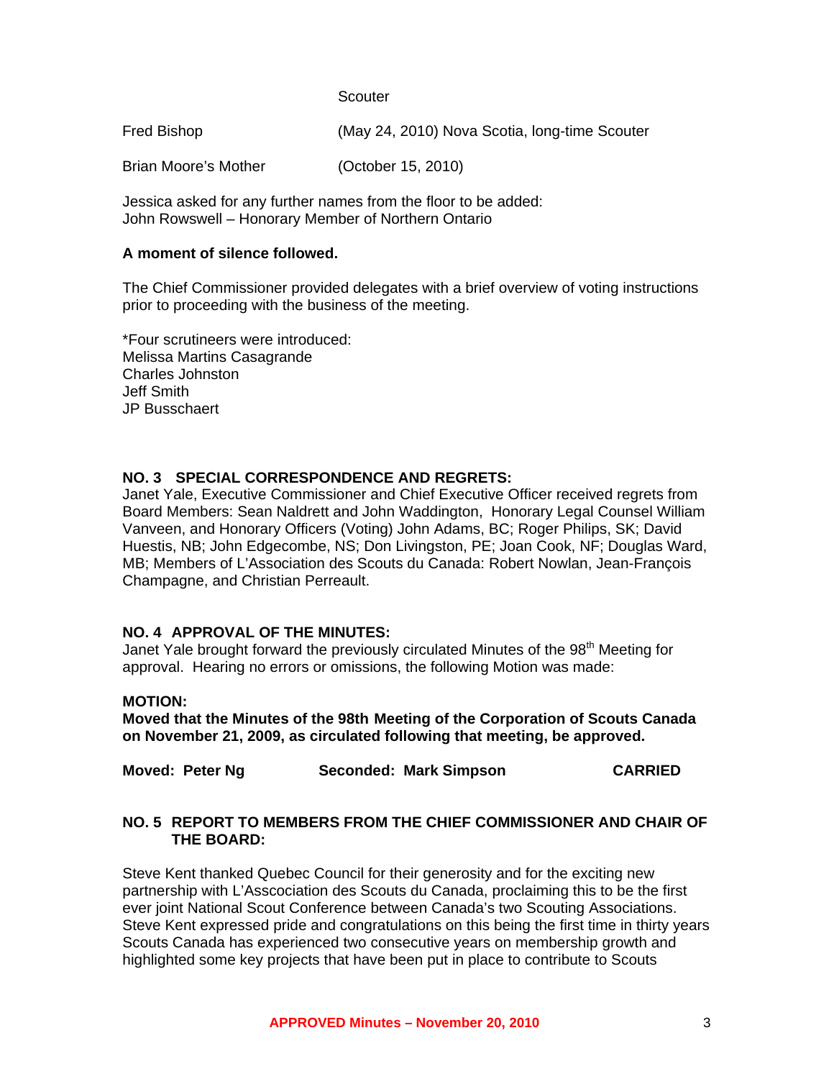**Scouter** 

Fred Bishop (May 24, 2010) Nova Scotia, long-time Scouter

Brian Moore's Mother (October 15, 2010)

Jessica asked for any further names from the floor to be added: John Rowswell – Honorary Member of Northern Ontario

#### **A moment of silence followed.**

The Chief Commissioner provided delegates with a brief overview of voting instructions prior to proceeding with the business of the meeting.

\*Four scrutineers were introduced: Melissa Martins Casagrande Charles Johnston Jeff Smith JP Busschaert

#### **NO. 3 SPECIAL CORRESPONDENCE AND REGRETS:**

Janet Yale, Executive Commissioner and Chief Executive Officer received regrets from Board Members: Sean Naldrett and John Waddington, Honorary Legal Counsel William Vanveen, and Honorary Officers (Voting) John Adams, BC; Roger Philips, SK; David Huestis, NB; John Edgecombe, NS; Don Livingston, PE; Joan Cook, NF; Douglas Ward, MB; Members of L'Association des Scouts du Canada: Robert Nowlan, Jean-François Champagne, and Christian Perreault.

#### **NO. 4 APPROVAL OF THE MINUTES:**

Janet Yale brought forward the previously circulated Minutes of the  $98<sup>th</sup>$  Meeting for approval. Hearing no errors or omissions, the following Motion was made:

#### **MOTION:**

**Moved that the Minutes of the 98th Meeting of the Corporation of Scouts Canada on November 21, 2009, as circulated following that meeting, be approved.** 

| Moved: Peter Ng<br>Seconded: Mark Simpson | <b>CARRIED</b> |
|-------------------------------------------|----------------|
|-------------------------------------------|----------------|

#### **NO. 5 REPORT TO MEMBERS FROM THE CHIEF COMMISSIONER AND CHAIR OF THE BOARD:**

Steve Kent thanked Quebec Council for their generosity and for the exciting new partnership with L'Asscociation des Scouts du Canada, proclaiming this to be the first ever joint National Scout Conference between Canada's two Scouting Associations. Steve Kent expressed pride and congratulations on this being the first time in thirty years Scouts Canada has experienced two consecutive years on membership growth and highlighted some key projects that have been put in place to contribute to Scouts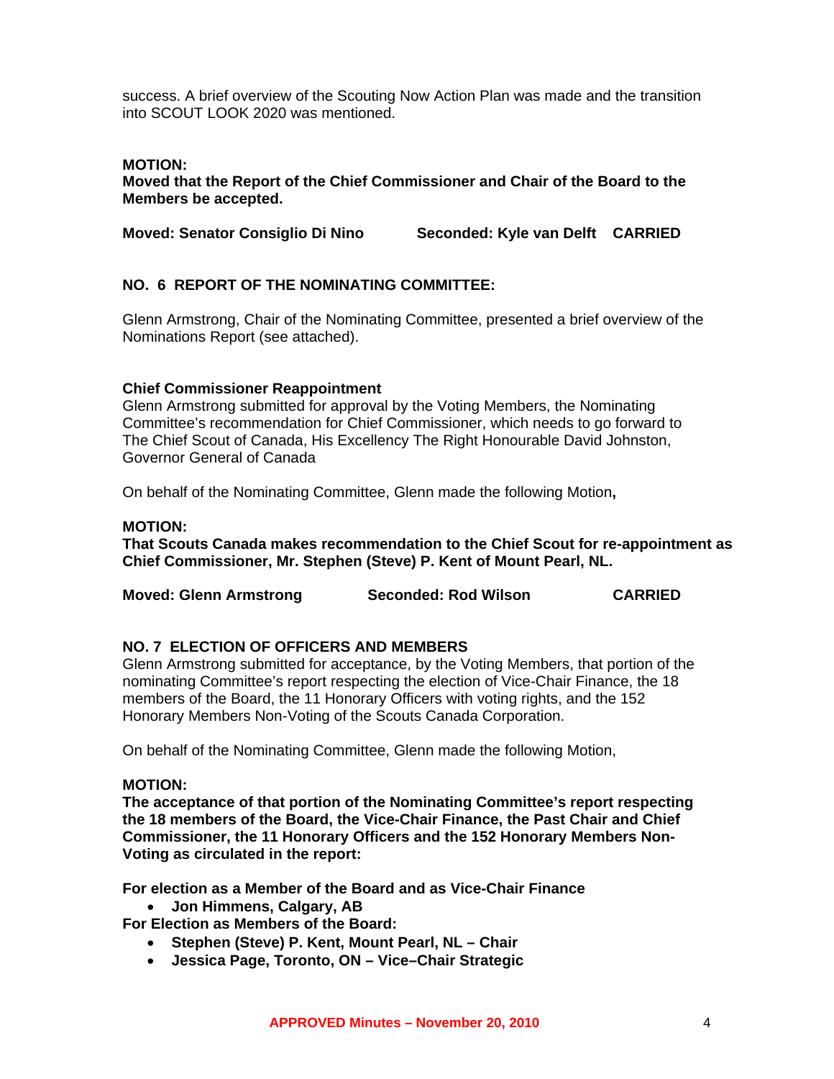success. A brief overview of the Scouting Now Action Plan was made and the transition into SCOUT LOOK 2020 was mentioned.

#### **MOTION:**

**Moved that the Report of the Chief Commissioner and Chair of the Board to the Members be accepted.** 

**Moved: Senator Consiglio Di Nino Seconded: Kyle van Delft CARRIED** 

#### **NO. 6 REPORT OF THE NOMINATING COMMITTEE:**

Glenn Armstrong, Chair of the Nominating Committee, presented a brief overview of the Nominations Report (see attached).

#### **Chief Commissioner Reappointment**

Glenn Armstrong submitted for approval by the Voting Members, the Nominating Committee's recommendation for Chief Commissioner, which needs to go forward to The Chief Scout of Canada, His Excellency The Right Honourable David Johnston, Governor General of Canada

On behalf of the Nominating Committee, Glenn made the following Motion**,** 

#### **MOTION:**

**That Scouts Canada makes recommendation to the Chief Scout for re-appointment as Chief Commissioner, Mr. Stephen (Steve) P. Kent of Mount Pearl, NL.** 

| <b>Moved: Glenn Armstrong</b> | <b>Seconded: Rod Wilson</b> | <b>CARRIED</b> |
|-------------------------------|-----------------------------|----------------|
|-------------------------------|-----------------------------|----------------|

#### **NO. 7 ELECTION OF OFFICERS AND MEMBERS**

Glenn Armstrong submitted for acceptance, by the Voting Members, that portion of the nominating Committee's report respecting the election of Vice-Chair Finance, the 18 members of the Board, the 11 Honorary Officers with voting rights, and the 152 Honorary Members Non-Voting of the Scouts Canada Corporation.

On behalf of the Nominating Committee, Glenn made the following Motion,

#### **MOTION:**

**The acceptance of that portion of the Nominating Committee's report respecting the 18 members of the Board, the Vice-Chair Finance, the Past Chair and Chief Commissioner, the 11 Honorary Officers and the 152 Honorary Members Non-Voting as circulated in the report:** 

**For election as a Member of the Board and as Vice-Chair Finance** 

• **Jon Himmens, Calgary, AB** 

**For Election as Members of the Board:** 

- **Stephen (Steve) P. Kent, Mount Pearl, NL Chair**
- **Jessica Page, Toronto, ON Vice–Chair Strategic**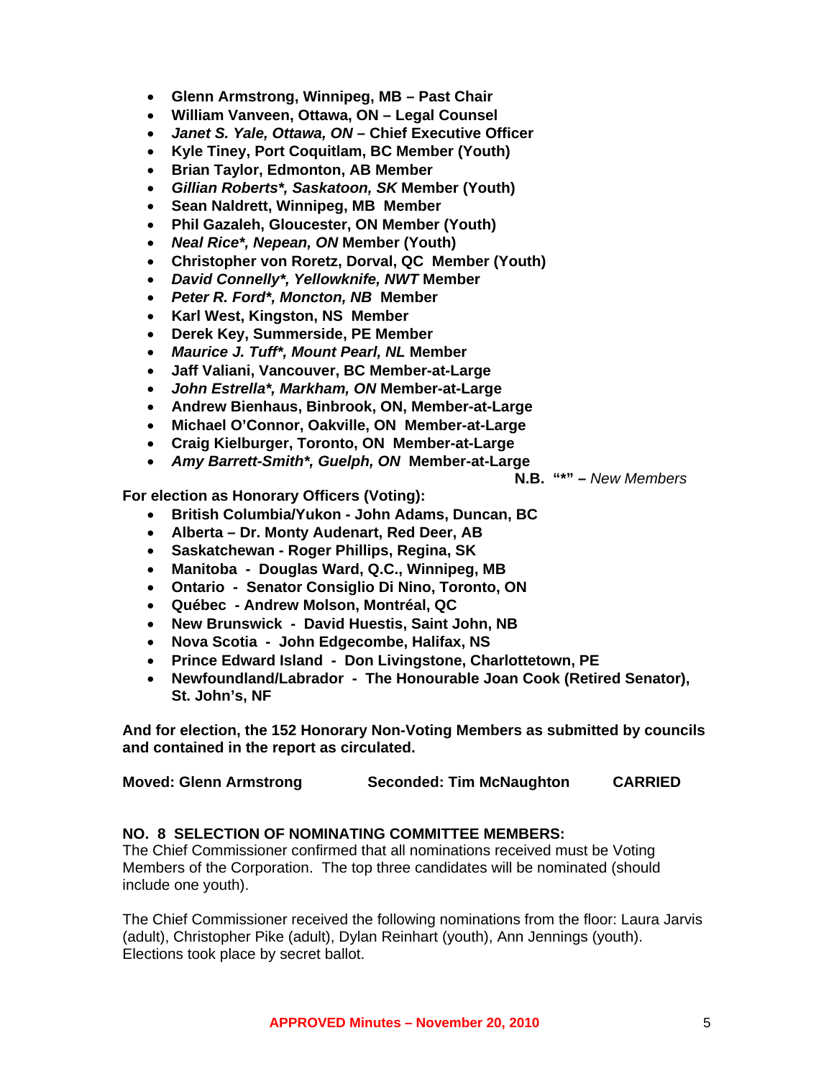- **Glenn Armstrong, Winnipeg, MB Past Chair**
- **William Vanveen, Ottawa, ON Legal Counsel**
- *Janet S. Yale, Ottawa, ON* **Chief Executive Officer**
- **Kyle Tiney, Port Coquitlam, BC Member (Youth)**
- **Brian Taylor, Edmonton, AB Member**
- *Gillian Roberts\*, Saskatoon, SK* **Member (Youth)**
- **Sean Naldrett, Winnipeg, MB Member**
- **Phil Gazaleh, Gloucester, ON Member (Youth)**
- *Neal Rice\*, Nepean, ON* **Member (Youth)**
- **Christopher von Roretz, Dorval, QC Member (Youth)**
- *David Connelly\*, Yellowknife, NWT* **Member**
- *Peter R. Ford\*, Moncton, NB* **Member**
- **Karl West, Kingston, NS Member**
- **Derek Key, Summerside, PE Member**
- *Maurice J. Tuff\*, Mount Pearl, NL* **Member**
- **Jaff Valiani, Vancouver, BC Member-at-Large**
- *John Estrella\*, Markham, ON* **Member-at-Large**
- **Andrew Bienhaus, Binbrook, ON, Member-at-Large**
- **Michael O'Connor, Oakville, ON Member-at-Large**
- **Craig Kielburger, Toronto, ON Member-at-Large**
- *Amy Barrett-Smith\*, Guelph, ON* **Member-at-Large**

**N.B. "\*" –** *New Members* 

**For election as Honorary Officers (Voting):** 

- **British Columbia/Yukon John Adams, Duncan, BC**
- **Alberta Dr. Monty Audenart, Red Deer, AB**
- **Saskatchewan Roger Phillips, Regina, SK**
- **Manitoba Douglas Ward, Q.C., Winnipeg, MB**
- **Ontario Senator Consiglio Di Nino, Toronto, ON**
- **Québec Andrew Molson, Montréal, QC**
- **New Brunswick David Huestis, Saint John, NB**
- **Nova Scotia John Edgecombe, Halifax, NS**
- **Prince Edward Island Don Livingstone, Charlottetown, PE**
- **Newfoundland/Labrador The Honourable Joan Cook (Retired Senator), St. John's, NF**

**And for election, the 152 Honorary Non-Voting Members as submitted by councils and contained in the report as circulated.** 

| <b>Moved: Glenn Armstrong</b> | <b>Seconded: Tim McNaughton</b> | <b>CARRIED</b> |
|-------------------------------|---------------------------------|----------------|
|-------------------------------|---------------------------------|----------------|

#### **NO. 8 SELECTION OF NOMINATING COMMITTEE MEMBERS:**

The Chief Commissioner confirmed that all nominations received must be Voting Members of the Corporation. The top three candidates will be nominated (should include one youth).

The Chief Commissioner received the following nominations from the floor: Laura Jarvis (adult), Christopher Pike (adult), Dylan Reinhart (youth), Ann Jennings (youth). Elections took place by secret ballot.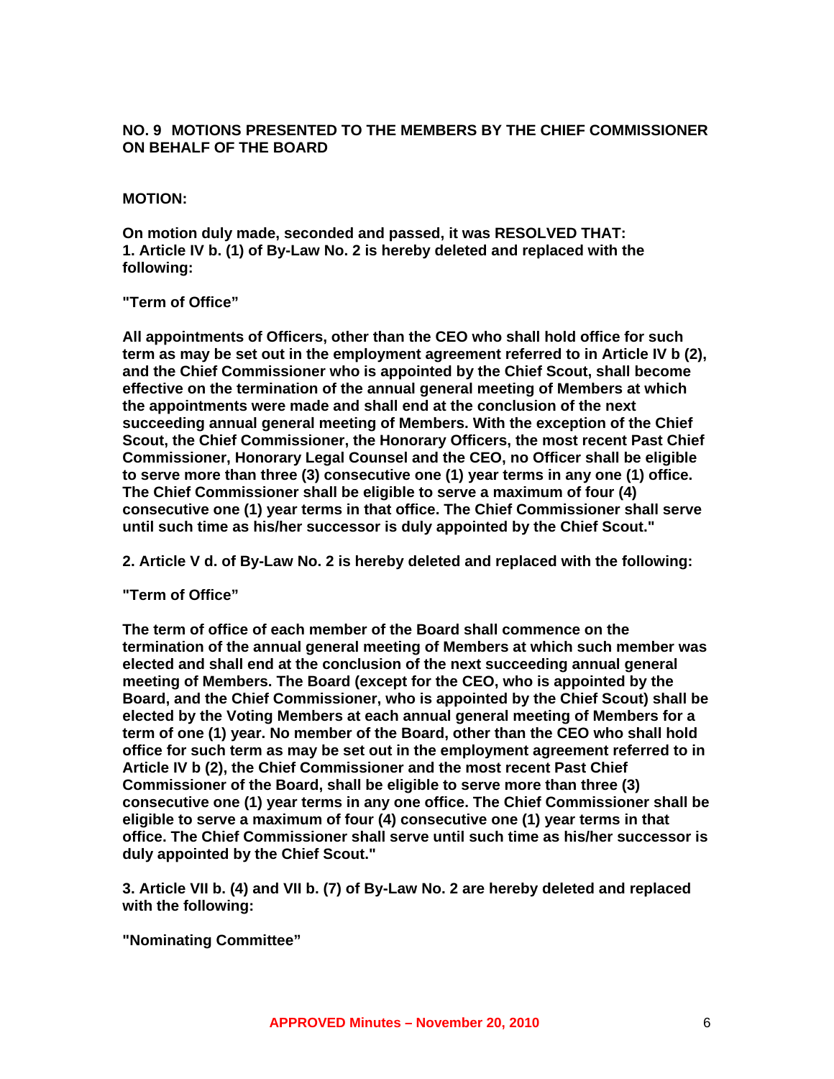#### **NO. 9 MOTIONS PRESENTED TO THE MEMBERS BY THE CHIEF COMMISSIONER ON BEHALF OF THE BOARD**

#### **MOTION:**

**On motion duly made, seconded and passed, it was RESOLVED THAT: 1. Article IV b. (1) of By-Law No. 2 is hereby deleted and replaced with the following:** 

#### **"Term of Office"**

**All appointments of Officers, other than the CEO who shall hold office for such term as may be set out in the employment agreement referred to in Article IV b (2), and the Chief Commissioner who is appointed by the Chief Scout, shall become effective on the termination of the annual general meeting of Members at which the appointments were made and shall end at the conclusion of the next succeeding annual general meeting of Members. With the exception of the Chief Scout, the Chief Commissioner, the Honorary Officers, the most recent Past Chief Commissioner, Honorary Legal Counsel and the CEO, no Officer shall be eligible to serve more than three (3) consecutive one (1) year terms in any one (1) office. The Chief Commissioner shall be eligible to serve a maximum of four (4) consecutive one (1) year terms in that office. The Chief Commissioner shall serve until such time as his/her successor is duly appointed by the Chief Scout."** 

**2. Article V d. of By-Law No. 2 is hereby deleted and replaced with the following:** 

#### **"Term of Office"**

**The term of office of each member of the Board shall commence on the termination of the annual general meeting of Members at which such member was elected and shall end at the conclusion of the next succeeding annual general meeting of Members. The Board (except for the CEO, who is appointed by the Board, and the Chief Commissioner, who is appointed by the Chief Scout) shall be elected by the Voting Members at each annual general meeting of Members for a term of one (1) year. No member of the Board, other than the CEO who shall hold office for such term as may be set out in the employment agreement referred to in Article IV b (2), the Chief Commissioner and the most recent Past Chief Commissioner of the Board, shall be eligible to serve more than three (3) consecutive one (1) year terms in any one office. The Chief Commissioner shall be eligible to serve a maximum of four (4) consecutive one (1) year terms in that office. The Chief Commissioner shall serve until such time as his/her successor is duly appointed by the Chief Scout."** 

**3. Article VII b. (4) and VII b. (7) of By-Law No. 2 are hereby deleted and replaced with the following:** 

**"Nominating Committee"**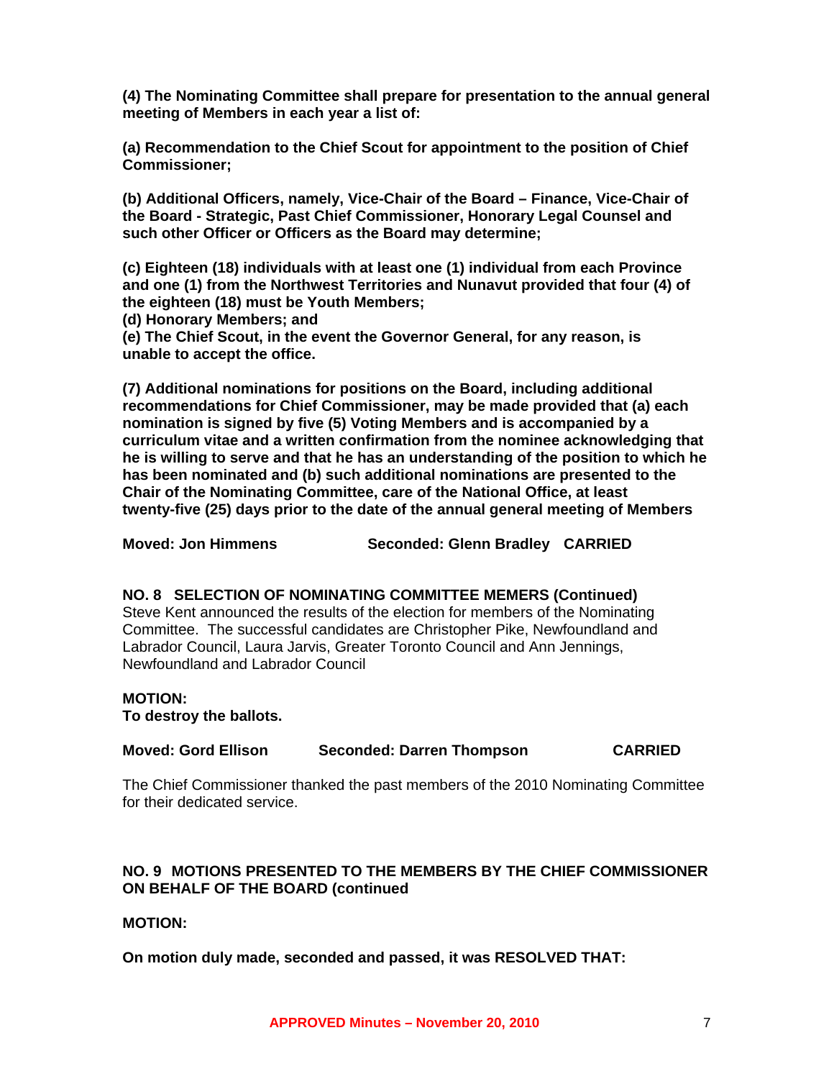**(4) The Nominating Committee shall prepare for presentation to the annual general meeting of Members in each year a list of:** 

**(a) Recommendation to the Chief Scout for appointment to the position of Chief Commissioner;** 

**(b) Additional Officers, namely, Vice-Chair of the Board – Finance, Vice-Chair of the Board - Strategic, Past Chief Commissioner, Honorary Legal Counsel and such other Officer or Officers as the Board may determine;** 

**(c) Eighteen (18) individuals with at least one (1) individual from each Province and one (1) from the Northwest Territories and Nunavut provided that four (4) of the eighteen (18) must be Youth Members;** 

**(d) Honorary Members; and** 

**(e) The Chief Scout, in the event the Governor General, for any reason, is unable to accept the office.** 

**(7) Additional nominations for positions on the Board, including additional recommendations for Chief Commissioner, may be made provided that (a) each nomination is signed by five (5) Voting Members and is accompanied by a curriculum vitae and a written confirmation from the nominee acknowledging that he is willing to serve and that he has an understanding of the position to which he has been nominated and (b) such additional nominations are presented to the Chair of the Nominating Committee, care of the National Office, at least twenty-five (25) days prior to the date of the annual general meeting of Members** 

**Moved: Jon Himmens Seconded: Glenn Bradley CARRIED** 

#### **NO. 8 SELECTION OF NOMINATING COMMITTEE MEMERS (Continued)**

Steve Kent announced the results of the election for members of the Nominating Committee. The successful candidates are Christopher Pike, Newfoundland and Labrador Council, Laura Jarvis, Greater Toronto Council and Ann Jennings, Newfoundland and Labrador Council

#### **MOTION:**

**To destroy the ballots.** 

| <b>Moved: Gord Ellison</b> | <b>Seconded: Darren Thompson</b> | <b>CARRIED</b> |
|----------------------------|----------------------------------|----------------|
|----------------------------|----------------------------------|----------------|

The Chief Commissioner thanked the past members of the 2010 Nominating Committee for their dedicated service.

#### **NO. 9 MOTIONS PRESENTED TO THE MEMBERS BY THE CHIEF COMMISSIONER ON BEHALF OF THE BOARD (continued**

#### **MOTION:**

**On motion duly made, seconded and passed, it was RESOLVED THAT:**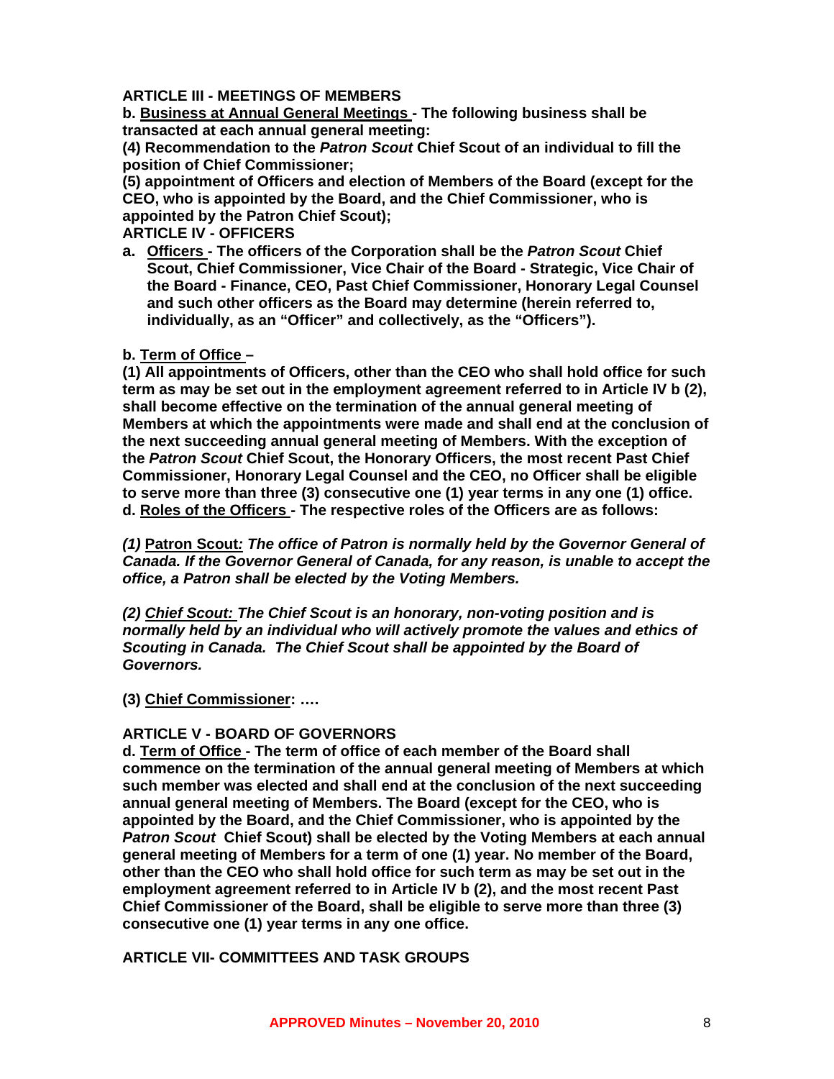#### **ARTICLE III - MEETINGS OF MEMBERS**

**b. Business at Annual General Meetings - The following business shall be transacted at each annual general meeting:** 

**(4) Recommendation to the** *Patron Scout* **Chief Scout of an individual to fill the position of Chief Commissioner;** 

**(5) appointment of Officers and election of Members of the Board (except for the CEO, who is appointed by the Board, and the Chief Commissioner, who is appointed by the Patron Chief Scout);** 

**ARTICLE IV - OFFICERS** 

**a. Officers - The officers of the Corporation shall be the** *Patron Scout* **Chief Scout, Chief Commissioner, Vice Chair of the Board - Strategic, Vice Chair of the Board - Finance, CEO, Past Chief Commissioner, Honorary Legal Counsel and such other officers as the Board may determine (herein referred to, individually, as an "Officer" and collectively, as the "Officers").** 

#### **b. Term of Office –**

**(1) All appointments of Officers, other than the CEO who shall hold office for such term as may be set out in the employment agreement referred to in Article IV b (2), shall become effective on the termination of the annual general meeting of Members at which the appointments were made and shall end at the conclusion of the next succeeding annual general meeting of Members. With the exception of the** *Patron Scout* **Chief Scout, the Honorary Officers, the most recent Past Chief Commissioner, Honorary Legal Counsel and the CEO, no Officer shall be eligible to serve more than three (3) consecutive one (1) year terms in any one (1) office. d. Roles of the Officers - The respective roles of the Officers are as follows:** 

*(1)* **Patron Scout***: The office of Patron is normally held by the Governor General of Canada. If the Governor General of Canada, for any reason, is unable to accept the office, a Patron shall be elected by the Voting Members.* 

*(2) Chief Scout: The Chief Scout is an honorary, non-voting position and is normally held by an individual who will actively promote the values and ethics of Scouting in Canada. The Chief Scout shall be appointed by the Board of Governors.* 

#### **(3) Chief Commissioner: ….**

#### **ARTICLE V - BOARD OF GOVERNORS**

**d. Term of Office - The term of office of each member of the Board shall commence on the termination of the annual general meeting of Members at which such member was elected and shall end at the conclusion of the next succeeding annual general meeting of Members. The Board (except for the CEO, who is appointed by the Board, and the Chief Commissioner, who is appointed by the**  *Patron Scout* **Chief Scout) shall be elected by the Voting Members at each annual general meeting of Members for a term of one (1) year. No member of the Board, other than the CEO who shall hold office for such term as may be set out in the employment agreement referred to in Article IV b (2), and the most recent Past Chief Commissioner of the Board, shall be eligible to serve more than three (3) consecutive one (1) year terms in any one office.** 

**ARTICLE VII- COMMITTEES AND TASK GROUPS**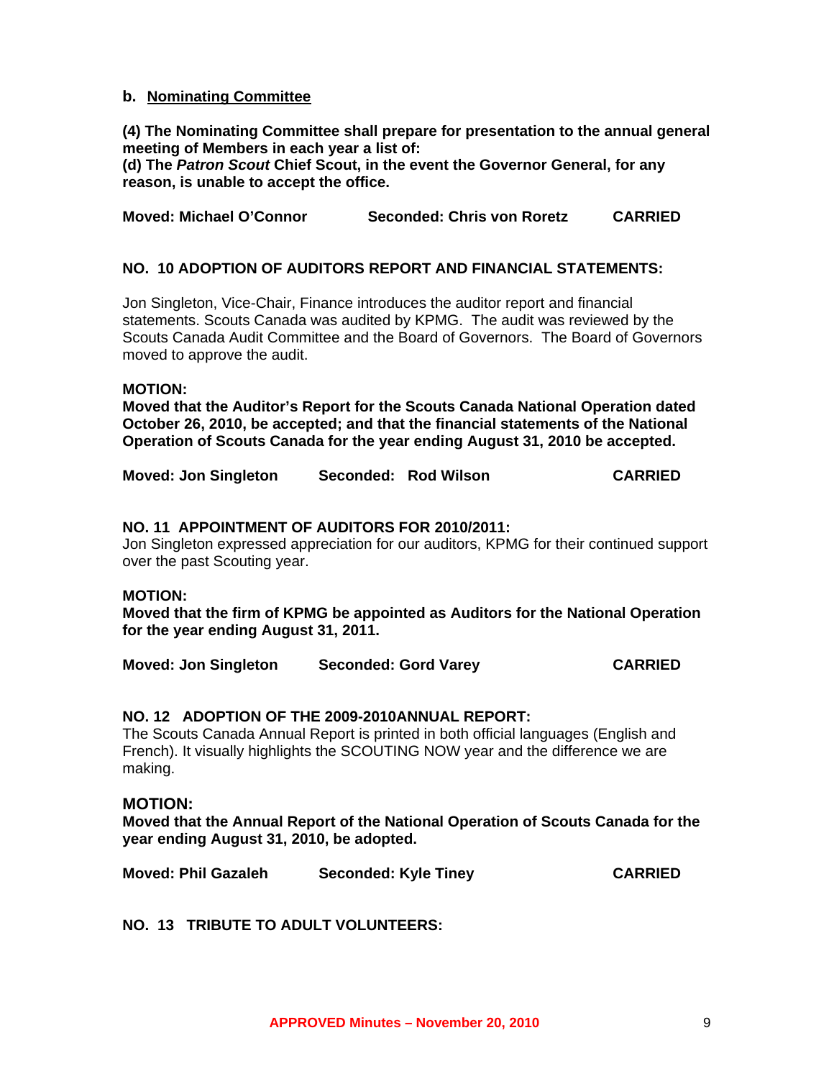#### **b. Nominating Committee**

**(4) The Nominating Committee shall prepare for presentation to the annual general meeting of Members in each year a list of:** 

**(d) The** *Patron Scout* **Chief Scout, in the event the Governor General, for any reason, is unable to accept the office.** 

**Moved: Michael O'Connor Seconded: Chris von Roretz CARRIED** 

#### **NO. 10 ADOPTION OF AUDITORS REPORT AND FINANCIAL STATEMENTS:**

Jon Singleton, Vice-Chair, Finance introduces the auditor report and financial statements. Scouts Canada was audited by KPMG. The audit was reviewed by the Scouts Canada Audit Committee and the Board of Governors. The Board of Governors moved to approve the audit.

#### **MOTION:**

**Moved that the Auditor's Report for the Scouts Canada National Operation dated October 26, 2010, be accepted; and that the financial statements of the National Operation of Scouts Canada for the year ending August 31, 2010 be accepted.** 

| <b>Moved: Jon Singleton</b> | Seconded: Rod Wilson | <b>CARRIED</b> |
|-----------------------------|----------------------|----------------|
|                             |                      |                |

#### **NO. 11 APPOINTMENT OF AUDITORS FOR 2010/2011:**

Jon Singleton expressed appreciation for our auditors, KPMG for their continued support over the past Scouting year.

#### **MOTION:**

**Moved that the firm of KPMG be appointed as Auditors for the National Operation for the year ending August 31, 2011.** 

**Moved: Jon Singleton Seconded: Gord Varey CARRIED** 

#### **NO. 12 ADOPTION OF THE 2009-2010ANNUAL REPORT:**

The Scouts Canada Annual Report is printed in both official languages (English and French). It visually highlights the SCOUTING NOW year and the difference we are making.

#### **MOTION:**

**Moved that the Annual Report of the National Operation of Scouts Canada for the year ending August 31, 2010, be adopted.** 

**Moved: Phil Gazaleh Seconded: Kyle Tiney CARRIED** 

**NO. 13 TRIBUTE TO ADULT VOLUNTEERS:**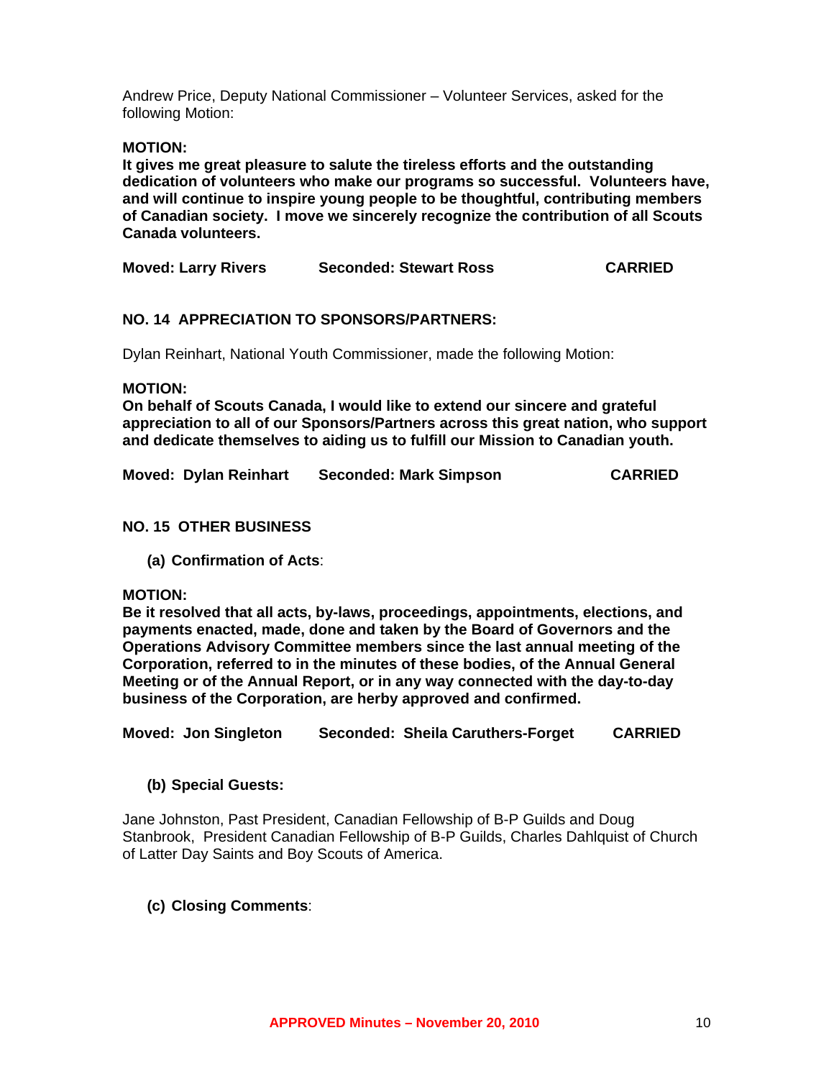Andrew Price, Deputy National Commissioner – Volunteer Services, asked for the following Motion:

**MOTION:** 

**It gives me great pleasure to salute the tireless efforts and the outstanding dedication of volunteers who make our programs so successful. Volunteers have, and will continue to inspire young people to be thoughtful, contributing members of Canadian society. I move we sincerely recognize the contribution of all Scouts Canada volunteers.** 

| <b>Moved: Larry Rivers</b> | <b>Seconded: Stewart Ross</b> | <b>CARRIED</b> |
|----------------------------|-------------------------------|----------------|
|                            |                               |                |

#### **NO. 14 APPRECIATION TO SPONSORS/PARTNERS:**

Dylan Reinhart, National Youth Commissioner, made the following Motion:

**MOTION:** 

**On behalf of Scouts Canada, I would like to extend our sincere and grateful appreciation to all of our Sponsors/Partners across this great nation, who support and dedicate themselves to aiding us to fulfill our Mission to Canadian youth.** 

|  | <b>Moved: Dylan Reinhart</b> | <b>Seconded: Mark Simpson</b> | <b>CARRIED</b> |
|--|------------------------------|-------------------------------|----------------|
|--|------------------------------|-------------------------------|----------------|

#### **NO. 15 OTHER BUSINESS**

**(a) Confirmation of Acts**:

#### **MOTION:**

**Be it resolved that all acts, by-laws, proceedings, appointments, elections, and payments enacted, made, done and taken by the Board of Governors and the Operations Advisory Committee members since the last annual meeting of the Corporation, referred to in the minutes of these bodies, of the Annual General Meeting or of the Annual Report, or in any way connected with the day-to-day business of the Corporation, are herby approved and confirmed.** 

**Moved: Jon Singleton Seconded: Sheila Caruthers-Forget CARRIED** 

**(b) Special Guests:** 

Jane Johnston, Past President, Canadian Fellowship of B-P Guilds and Doug Stanbrook, President Canadian Fellowship of B-P Guilds, Charles Dahlquist of Church of Latter Day Saints and Boy Scouts of America.

#### **(c) Closing Comments**: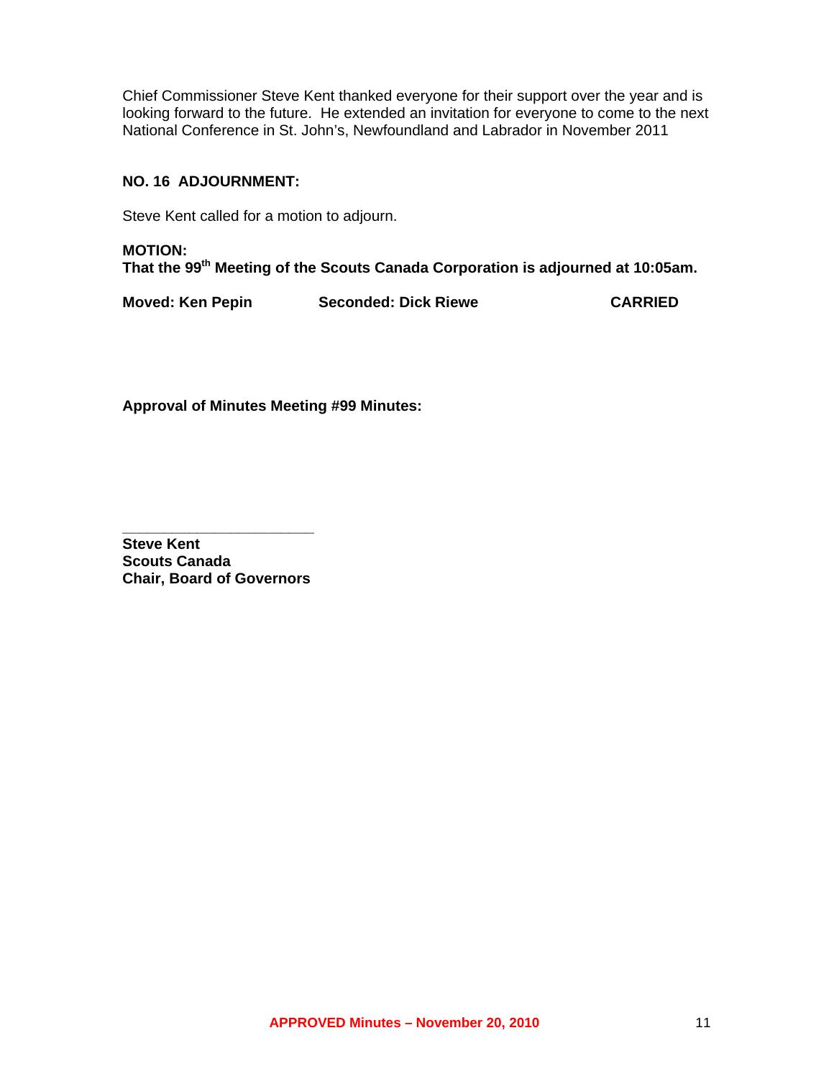Chief Commissioner Steve Kent thanked everyone for their support over the year and is looking forward to the future. He extended an invitation for everyone to come to the next National Conference in St. John's, Newfoundland and Labrador in November 2011

#### **NO. 16 ADJOURNMENT:**

Steve Kent called for a motion to adjourn.

**MOTION: That the 99th Meeting of the Scouts Canada Corporation is adjourned at 10:05am.** 

**Moved: Ken Pepin Seconded: Dick Riewe CARRIED** 

**Approval of Minutes Meeting #99 Minutes:** 

**\_\_\_\_\_\_\_\_\_\_\_\_\_\_\_\_\_\_\_\_\_\_\_ Steve Kent Scouts Canada Chair, Board of Governors**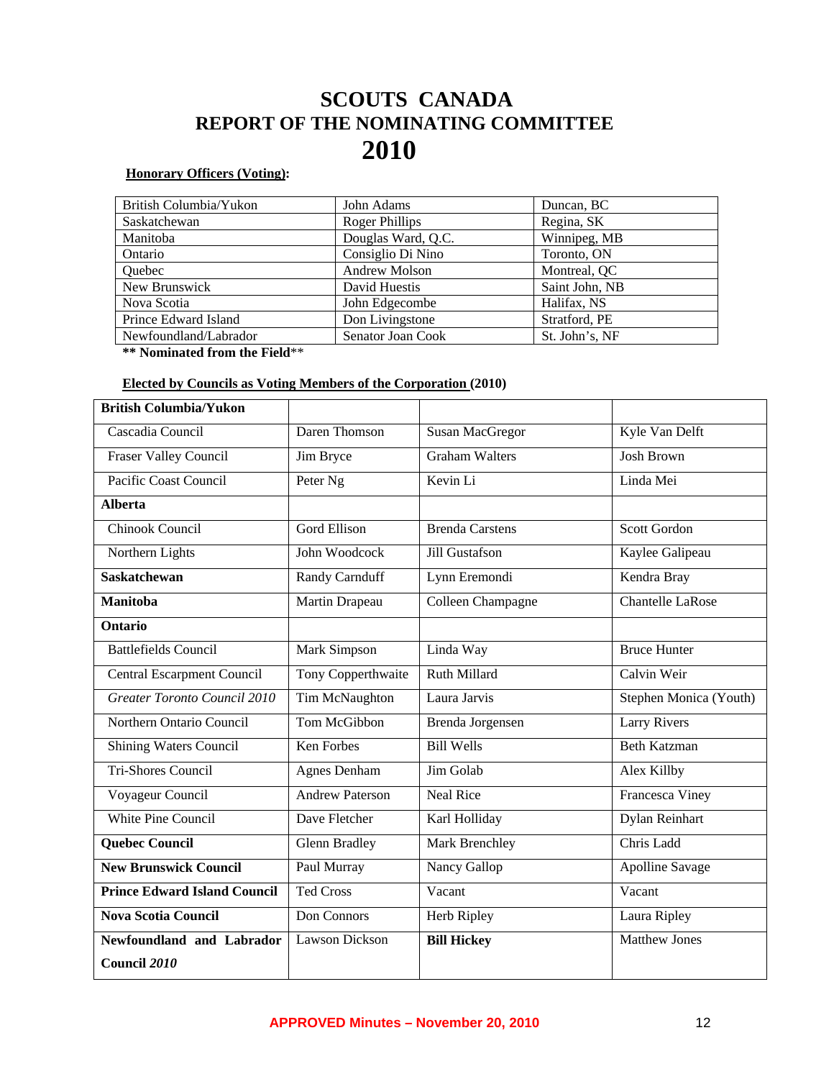## **SCOUTS CANADA REPORT OF THE NOMINATING COMMITTEE 2010**

#### **Honorary Officers (Voting):**

| British Columbia/Yukon | John Adams         | Duncan, BC     |
|------------------------|--------------------|----------------|
| Saskatchewan           | Roger Phillips     | Regina, SK     |
| Manitoba               | Douglas Ward, Q.C. | Winnipeg, MB   |
| Ontario                | Consiglio Di Nino  | Toronto, ON    |
| Quebec                 | Andrew Molson      | Montreal, QC   |
| New Brunswick          | David Huestis      | Saint John, NB |
| Nova Scotia            | John Edgecombe     | Halifax, NS    |
| Prince Edward Island   | Don Livingstone    | Stratford, PE  |
| Newfoundland/Labrador  | Senator Joan Cook  | St. John's, NF |

**\*\* Nominated from the Field**\*\*

#### **Elected by Councils as Voting Members of the Corporation (2010)**

| <b>British Columbia/Yukon</b>       |                        |                        |                        |
|-------------------------------------|------------------------|------------------------|------------------------|
| Cascadia Council                    | Daren Thomson          | <b>Susan MacGregor</b> | Kyle Van Delft         |
| <b>Fraser Valley Council</b>        | Jim Bryce              | Graham Walters         | <b>Josh Brown</b>      |
| Pacific Coast Council               | Peter Ng               | Kevin Li               | Linda Mei              |
| <b>Alberta</b>                      |                        |                        |                        |
| Chinook Council                     | <b>Gord Ellison</b>    | <b>Brenda Carstens</b> | Scott Gordon           |
| Northern Lights                     | John Woodcock          | Jill Gustafson         | Kaylee Galipeau        |
| <b>Saskatchewan</b>                 | Randy Carnduff         | Lynn Eremondi          | Kendra Bray            |
| <b>Manitoba</b>                     | Martin Drapeau         | Colleen Champagne      | Chantelle LaRose       |
| Ontario                             |                        |                        |                        |
| <b>Battlefields Council</b>         | Mark Simpson           | Linda Way              | <b>Bruce Hunter</b>    |
| <b>Central Escarpment Council</b>   | Tony Copperthwaite     | <b>Ruth Millard</b>    | Calvin Weir            |
| Greater Toronto Council 2010        | Tim McNaughton         | Laura Jarvis           | Stephen Monica (Youth) |
| Northern Ontario Council            | Tom McGibbon           | Brenda Jorgensen       | <b>Larry Rivers</b>    |
| Shining Waters Council              | <b>Ken Forbes</b>      | <b>Bill Wells</b>      | <b>Beth Katzman</b>    |
| <b>Tri-Shores Council</b>           | <b>Agnes Denham</b>    | Jim Golab              | Alex Killby            |
| Voyageur Council                    | <b>Andrew Paterson</b> | Neal Rice              | <b>Francesca Viney</b> |
| <b>White Pine Council</b>           | Dave Fletcher          | Karl Holliday          | Dylan Reinhart         |
| <b>Quebec Council</b>               | <b>Glenn Bradley</b>   | Mark Brenchley         | Chris Ladd             |
| <b>New Brunswick Council</b>        | Paul Murray            | Nancy Gallop           | <b>Apolline Savage</b> |
| <b>Prince Edward Island Council</b> | <b>Ted Cross</b>       | Vacant                 | Vacant                 |
| <b>Nova Scotia Council</b>          | Don Connors            | Herb Ripley            | Laura Ripley           |
| Newfoundland and Labrador           | <b>Lawson Dickson</b>  | <b>Bill Hickey</b>     | <b>Matthew Jones</b>   |
| Council 2010                        |                        |                        |                        |